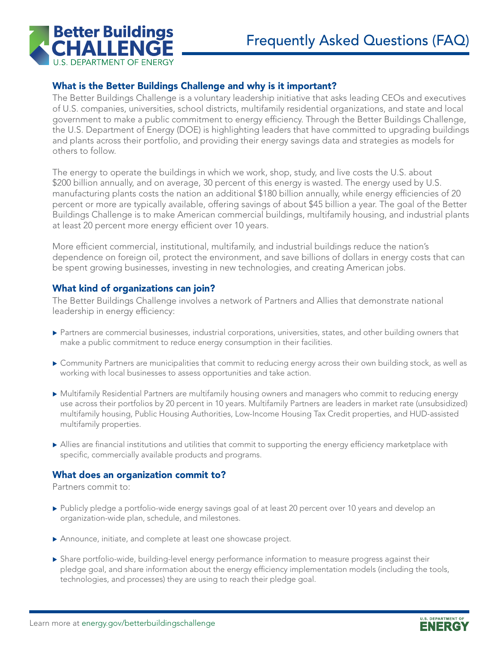

# What is the Better Buildings Challenge and why is it important?

The Better Buildings Challenge is a voluntary leadership initiative that asks leading CEOs and executives of U.S. companies, universities, school districts, multifamily residential organizations, and state and local government to make a public commitment to energy efficiency. Through the Better Buildings Challenge, the U.S. Department of Energy (DOE) is highlighting leaders that have committed to upgrading buildings and plants across their portfolio, and providing their energy savings data and strategies as models for others to follow.

The energy to operate the buildings in which we work, shop, study, and live costs the U.S. about \$200 billion annually, and on average, 30 percent of this energy is wasted. The energy used by U.S. manufacturing plants costs the nation an additional \$180 billion annually, while energy efficiencies of 20 percent or more are typically available, offering savings of about \$45 billion a year. The goal of the Better Buildings Challenge is to make American commercial buildings, multifamily housing, and industrial plants at least 20 percent more energy efficient over 10 years.

More efficient commercial, institutional, multifamily, and industrial buildings reduce the nation's dependence on foreign oil, protect the environment, and save billions of dollars in energy costs that can be spent growing businesses, investing in new technologies, and creating American jobs.

# What kind of organizations can join?

The Better Buildings Challenge involves a network of Partners and Allies that demonstrate national leadership in energy efficiency:

- Partners are commercial businesses, industrial corporations, universities, states, and other building owners that make a public commitment to reduce energy consumption in their facilities.
- **Example 1** Community Partners are municipalities that commit to reducing energy across their own building stock, as well as working with local businesses to assess opportunities and take action.
- $\blacktriangleright$  Multifamily Residential Partners are multifamily housing owners and managers who commit to reducing energy use across their portfolios by 20 percent in 10 years. Multifamily Partners are leaders in market rate (unsubsidized) multifamily housing, Public Housing Authorities, Low-Income Housing Tax Credit properties, and HUD-assisted multifamily properties.
- $\triangleright$  Allies are financial institutions and utilities that commit to supporting the energy efficiency marketplace with specific, commercially available products and programs.

#### What does an organization commit to?

Partners commit to:

- Publicly pledge a portfolio-wide energy savings goal of at least 20 percent over 10 years and develop an organization-wide plan, schedule, and milestones.
- $\blacktriangleright$  Announce, initiate, and complete at least one showcase project.
- $\triangleright$  Share portfolio-wide, building-level energy performance information to measure progress against their pledge goal, and share information about the energy efficiency implementation models (including the tools, technologies, and processes) they are using to reach their pledge goal.

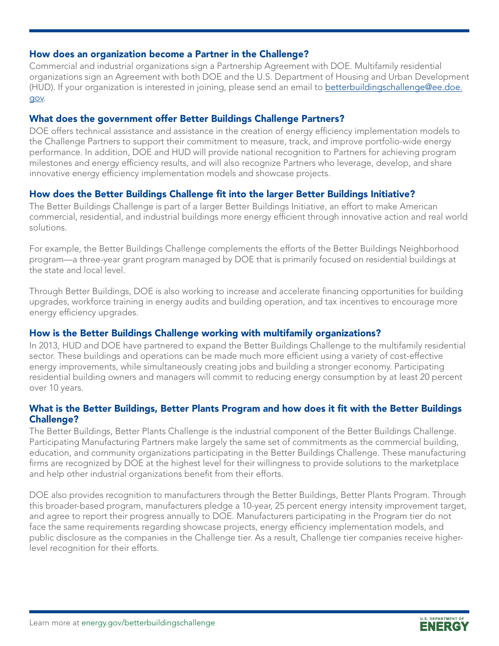### How does an organization become a Partner in the Challenge?

Commercial and industrial organizations sign a Partnership Agreement with DOE. Multifamily residential organizations sign an Agreement with both DOE and the U.S. Department of Housing and Urban Development (HUD). If your organization is interested in joining, please send an email to [betterbuildingschallenge@ee.doe.](mailto:www.betterbuildingschallenge%40ee.doe.gov.%20?subject=Better%20Buildings%20Challenge)  [gov.](mailto:www.betterbuildingschallenge%40ee.doe.gov.%20?subject=Better%20Buildings%20Challenge)

#### What does the government offer Better Buildings Challenge Partners?

DOE offers technical assistance and assistance in the creation of energy efficiency implementation models to the Challenge Partners to support their commitment to measure, track, and improve portfolio-wide energy performance. In addition, DOE and HUD will provide national recognition to Partners for achieving program milestones and energy efficiency results, and will also recognize Partners who leverage, develop, and share innovative energy efficiency implementation models and showcase projects.

## How does the Better Buildings Challenge fit into the larger Better Buildings Initiative?

The Better Buildings Challenge is part of a larger Better Buildings Initiative, an effort to make American commercial, residential, and industrial buildings more energy efficient through innovative action and real world solutions.

For example, the Better Buildings Challenge complements the efforts of the Better Buildings Neighborhood program—a three-year grant program managed by DOE that is primarily focused on residential buildings at the state and local level.

Through Better Buildings, DOE is also working to increase and accelerate financing opportunities for building upgrades, workforce training in energy audits and building operation, and tax incentives to encourage more energy efficiency upgrades.

## How is the Better Buildings Challenge working with multifamily organizations?

In 2013, HUD and DOE have partnered to expand the Better Buildings Challenge to the multifamily residential sector. These buildings and operations can be made much more efficient using a variety of cost-effective energy improvements, while simultaneously creating jobs and building a stronger economy. Participating residential building owners and managers will commit to reducing energy consumption by at least 20 percent over 10 years.

### What is the Better Buildings, Better Plants Program and how does it fit with the Better Buildings Challenge?

The Better Buildings, Better Plants Challenge is the industrial component of the Better Buildings Challenge. Participating Manufacturing Partners make largely the same set of commitments as the commercial building, education, and community organizations participating in the Better Buildings Challenge. These manufacturing firms are recognized by DOE at the highest level for their willingness to provide solutions to the marketplace and help other industrial organizations benefit from their efforts.

DOE also provides recognition to manufacturers through the Better Buildings, Better Plants Program. Through this broader-based program, manufacturers pledge a 10-year, 25 percent energy intensity improvement target, and agree to report their progress annually to DOE. Manufacturers participating in the Program tier do not face the same requirements regarding showcase projects, energy efficiency implementation models, and public disclosure as the companies in the Challenge tier. As a result, Challenge tier companies receive higherlevel recognition for their efforts.

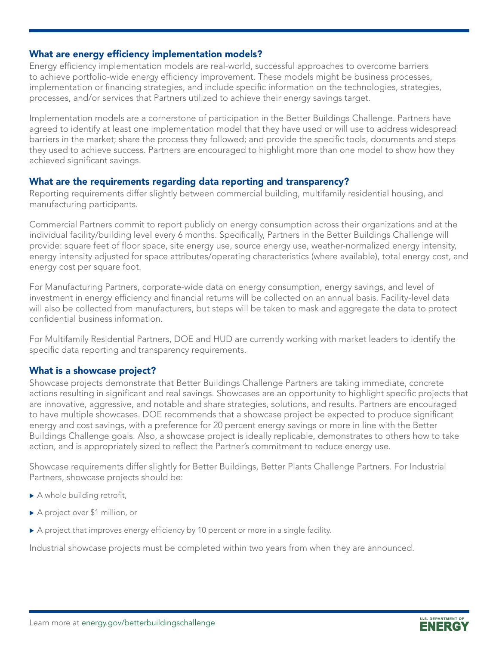### What are energy efficiency implementation models?

Energy efficiency implementation models are real-world, successful approaches to overcome barriers to achieve portfolio-wide energy efficiency improvement. These models might be business processes, implementation or financing strategies, and include specific information on the technologies, strategies, processes, and/or services that Partners utilized to achieve their energy savings target.

Implementation models are a cornerstone of participation in the Better Buildings Challenge. Partners have agreed to identify at least one implementation model that they have used or will use to address widespread barriers in the market; share the process they followed; and provide the specific tools, documents and steps they used to achieve success. Partners are encouraged to highlight more than one model to show how they achieved significant savings.

#### What are the requirements regarding data reporting and transparency?

Reporting requirements differ slightly between commercial building, multifamily residential housing, and manufacturing participants.

Commercial Partners commit to report publicly on energy consumption across their organizations and at the individual facility/building level every 6 months. Specifically, Partners in the Better Buildings Challenge will provide: square feet of floor space, site energy use, source energy use, weather-normalized energy intensity, energy intensity adjusted for space attributes/operating characteristics (where available), total energy cost, and energy cost per square foot.

For Manufacturing Partners, corporate-wide data on energy consumption, energy savings, and level of investment in energy efficiency and financial returns will be collected on an annual basis. Facility-level data will also be collected from manufacturers, but steps will be taken to mask and aggregate the data to protect confidential business information.

For Multifamily Residential Partners, DOE and HUD are currently working with market leaders to identify the specific data reporting and transparency requirements.

## What is a showcase project?

Showcase projects demonstrate that Better Buildings Challenge Partners are taking immediate, concrete actions resulting in significant and real savings. Showcases are an opportunity to highlight specific projects that are innovative, aggressive, and notable and share strategies, solutions, and results. Partners are encouraged to have multiple showcases. DOE recommends that a showcase project be expected to produce significant energy and cost savings, with a preference for 20 percent energy savings or more in line with the Better Buildings Challenge goals. Also, a showcase project is ideally replicable, demonstrates to others how to take action, and is appropriately sized to reflect the Partner's commitment to reduce energy use.

Showcase requirements differ slightly for Better Buildings, Better Plants Challenge Partners. For Industrial Partners, showcase projects should be:

- $\blacktriangleright$  A whole building retrofit,
- A project over \$1 million, or
- $\triangleright$  A project that improves energy efficiency by 10 percent or more in a single facility.

Industrial showcase projects must be completed within two years from when they are announced.